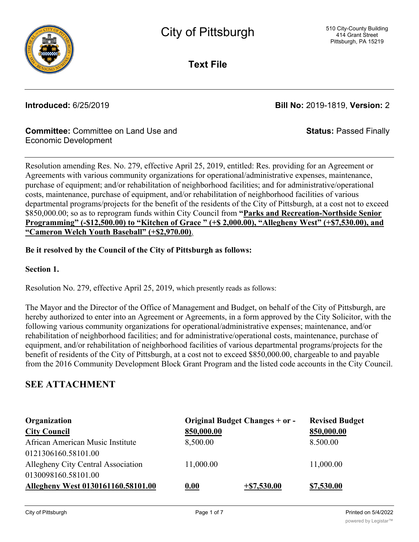

**Text File**

**Introduced:** 6/25/2019 **Bill No:** 2019-1819, **Version:** 2

**Status:** Passed Finally

### **Committee:** Committee on Land Use and Economic Development

Resolution amending Res. No. 279, effective April 25, 2019, entitled: Res. providing for an Agreement or Agreements with various community organizations for operational/administrative expenses, maintenance, purchase of equipment; and/or rehabilitation of neighborhood facilities; and for administrative/operational costs, maintenance, purchase of equipment, and/or rehabilitation of neighborhood facilities of various departmental programs/projects for the benefit of the residents of the City of Pittsburgh, at a cost not to exceed \$850,000.00; so as to reprogram funds within City Council from **"Parks and Recreation-Northside Senior Programming" (-\$12,500.00) to "Kitchen of Grace " (+\$ 2,000.00), "Allegheny West" (+\$7,530.00), and "Cameron Welch Youth Baseball" (+\$2,970.00)**.

### **Be it resolved by the Council of the City of Pittsburgh as follows:**

**Section 1.**

Resolution No. 279, effective April 25, 2019, which presently reads as follows:

The Mayor and the Director of the Office of Management and Budget, on behalf of the City of Pittsburgh, are hereby authorized to enter into an Agreement or Agreements, in a form approved by the City Solicitor, with the following various community organizations for operational/administrative expenses; maintenance, and/or rehabilitation of neighborhood facilities; and for administrative/operational costs, maintenance, purchase of equipment, and/or rehabilitation of neighborhood facilities of various departmental programs/projects for the benefit of residents of the City of Pittsburgh, at a cost not to exceed \$850,000.00, chargeable to and payable from the 2016 Community Development Block Grant Program and the listed code accounts in the City Council.

# **SEE ATTACHMENT**

| Organization                       | Original Budget Changes + or - |               | <b>Revised Budget</b> |
|------------------------------------|--------------------------------|---------------|-----------------------|
| <b>City Council</b>                | 850,000.00                     |               | 850,000.00            |
| African American Music Institute   | 8,500.00                       |               | 8.500.00              |
| 0121306160.58101.00                |                                |               |                       |
| Allegheny City Central Association | 11,000.00                      |               | 11,000.00             |
| 0130098160.58101.00                |                                |               |                       |
| Allegheny West 0130161160.58101.00 | 0.00                           | $+ $7,530.00$ | \$7,530.00            |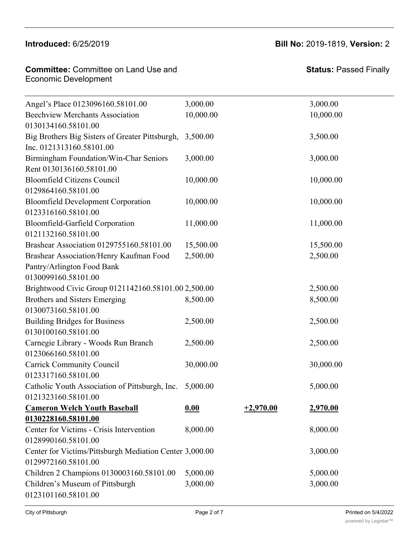### **City Council 850,000.00 850,000.00**  $\frac{1}{2}$

#### **Introduced:** 6/25/2019 **Bill No:** 2019-1819, **Version:** 2  $\frac{1}{2}$   $\frac{1}{2}$   $\frac{1}{2}$   $\frac{1}{2}$   $\frac{1}{2}$   $\frac{1}{2}$   $\frac{1}{2}$   $\frac{1}{2}$   $\frac{1}{2}$   $\frac{1}{2}$   $\frac{1}{2}$   $\frac{1}{2}$   $\frac{1}{2}$   $\frac{1}{2}$   $\frac{1}{2}$   $\frac{1}{2}$   $\frac{1}{2}$   $\frac{1}{2}$   $\frac{1}{2}$   $\frac{1}{2}$   $\frac{1}{2}$   $\frac{1}{2}$

| <b>Committee:</b> Committee on Land Use and |  |
|---------------------------------------------|--|
| Economic Development                        |  |

| Angel's Place 0123096160.58101.00                       | 3,000.00  |             | 3,000.00        |
|---------------------------------------------------------|-----------|-------------|-----------------|
| <b>Beechview Merchants Association</b>                  | 10,000.00 |             | 10,000.00       |
| 0130134160.58101.00                                     |           |             |                 |
| Big Brothers Big Sisters of Greater Pittsburgh,         | 3,500.00  |             | 3,500.00        |
| Inc. 0121313160.58101.00                                |           |             |                 |
| Birmingham Foundation/Win-Char Seniors                  | 3,000.00  |             | 3,000.00        |
| Rent 0130136160.58101.00                                |           |             |                 |
| <b>Bloomfield Citizens Council</b>                      | 10,000.00 |             | 10,000.00       |
| 0129864160.58101.00                                     |           |             |                 |
| <b>Bloomfield Development Corporation</b>               | 10,000.00 |             | 10,000.00       |
| 0123316160.58101.00                                     |           |             |                 |
| Bloomfield-Garfield Corporation                         | 11,000.00 |             | 11,000.00       |
| 0121132160.58101.00                                     |           |             |                 |
| Brashear Association 0129755160.58101.00                | 15,500.00 |             | 15,500.00       |
| Brashear Association/Henry Kaufman Food                 | 2,500.00  |             | 2,500.00        |
| Pantry/Arlington Food Bank                              |           |             |                 |
| 0130099160.58101.00                                     |           |             |                 |
| Brightwood Civic Group 0121142160.58101.00 2,500.00     |           |             | 2,500.00        |
| Brothers and Sisters Emerging                           | 8,500.00  |             | 8,500.00        |
| 0130073160.58101.00                                     |           |             |                 |
| <b>Building Bridges for Business</b>                    | 2,500.00  |             | 2,500.00        |
| 0130100160.58101.00                                     |           |             |                 |
| Carnegie Library - Woods Run Branch                     | 2,500.00  |             | 2,500.00        |
| 0123066160.58101.00                                     |           |             |                 |
| <b>Carrick Community Council</b>                        | 30,000.00 |             | 30,000.00       |
| 0123317160.58101.00                                     |           |             |                 |
| Catholic Youth Association of Pittsburgh, Inc.          | 5,000.00  |             | 5,000.00        |
| 0121323160.58101.00                                     |           |             |                 |
| <b>Cameron Welch Youth Baseball</b>                     | 0.00      | $+2,970.00$ | <u>2,970.00</u> |
| 0130228160.58101.00                                     |           |             |                 |
| Center for Victims - Crisis Intervention                | 8,000.00  |             | 8,000.00        |
| 0128990160.58101.00                                     |           |             |                 |
| Center for Victims/Pittsburgh Mediation Center 3,000.00 |           |             | 3,000.00        |
| 0129972160.58101.00                                     |           |             |                 |
| Children 2 Champions 0130003160.58101.00                | 5,000.00  |             | 5,000.00        |
| Children's Museum of Pittsburgh                         | 3,000.00  |             | 3,000.00        |
| 0123101160.58101.00                                     |           |             |                 |

**Organization Original Budget Changes + or - Revised Budget**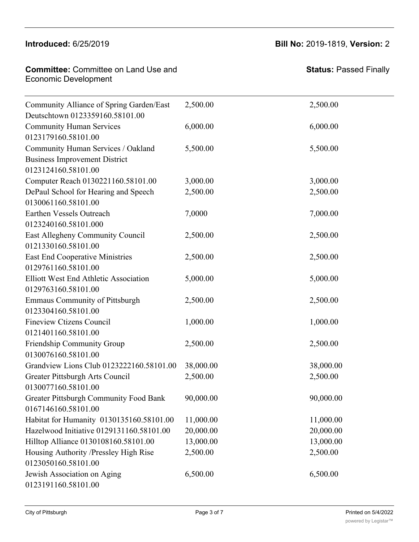### Introduced: 6/25/2019 center for Victims and Victims  $P$  is a property of  $\mathcal{P}$

#### **Introduced:** 6/25/2019 **Bill No:** 2019-1819, **Version:** 2 3,000.00 3,000.00

8,000.00 8,000.00

| <b>Committee:</b> Committee on Land Use and | Status: I |
|---------------------------------------------|-----------|
| <b>Economic Development</b>                 |           |

Center for Victims - Crisis Intervention

| Community Alliance of Spring Garden/East     | 2,500.00  | 2,500.00  |
|----------------------------------------------|-----------|-----------|
| Deutschtown 0123359160.58101.00              |           |           |
| <b>Community Human Services</b>              | 6,000.00  | 6,000.00  |
| 0123179160.58101.00                          |           |           |
| Community Human Services / Oakland           | 5,500.00  | 5,500.00  |
| <b>Business Improvement District</b>         |           |           |
| 0123124160.58101.00                          |           |           |
| Computer Reach 0130221160.58101.00           | 3,000.00  | 3,000.00  |
| DePaul School for Hearing and Speech         | 2,500.00  | 2,500.00  |
| 0130061160.58101.00                          |           |           |
| Earthen Vessels Outreach                     | 7,0000    | 7,000.00  |
| 0123240160.58101.000                         |           |           |
| East Allegheny Community Council             | 2,500.00  | 2,500.00  |
| 0121330160.58101.00                          |           |           |
| <b>East End Cooperative Ministries</b>       | 2,500.00  | 2,500.00  |
| 0129761160.58101.00                          |           |           |
| <b>Elliott West End Athletic Association</b> | 5,000.00  | 5,000.00  |
| 0129763160.58101.00                          |           |           |
| <b>Emmaus Community of Pittsburgh</b>        | 2,500.00  | 2,500.00  |
| 0123304160.58101.00                          |           |           |
| <b>Fineview Ctizens Council</b>              | 1,000.00  | 1,000.00  |
| 0121401160.58101.00                          |           |           |
| Friendship Community Group                   | 2,500.00  | 2,500.00  |
| 0130076160.58101.00                          |           |           |
| Grandview Lions Club 0123222160.58101.00     | 38,000.00 | 38,000.00 |
| Greater Pittsburgh Arts Council              | 2,500.00  | 2,500.00  |
| 0130077160.58101.00                          |           |           |
| Greater Pittsburgh Community Food Bank       | 90,000.00 | 90,000.00 |
| 0167146160.58101.00                          |           |           |
| Habitat for Humanity 0130135160.58101.00     | 11,000.00 | 11,000.00 |
| Hazelwood Initiative 0129131160.58101.00     | 20,000.00 | 20,000.00 |
| Hilltop Alliance 0130108160.58101.00         | 13,000.00 | 13,000.00 |
| Housing Authority /Pressley High Rise        | 2,500.00  | 2,500.00  |
| 0123050160.58101.00                          |           |           |
| Jewish Association on Aging                  | 6,500.00  | 6,500.00  |
| 0123191160.58101.00                          |           |           |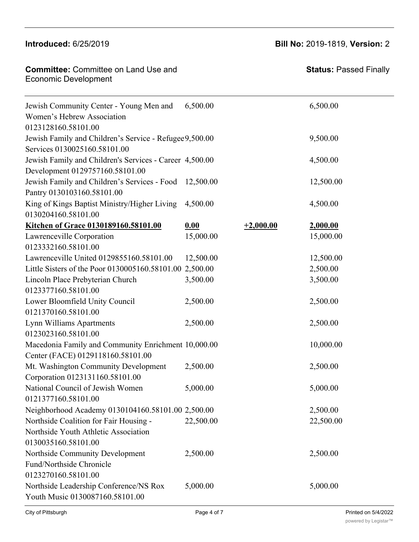# **Introduced:** 6/25/2019 **Bill No:** 2019-1819, **Version:** 2

| <b>Committee: Committee on Land Use and</b> |  |
|---------------------------------------------|--|
| <b>Economic Development</b>                 |  |
|                                             |  |

| <b>Status: Passed Finally</b> |
|-------------------------------|

| Jewish Community Center - Young Men and                 | 6,500.00  |             | 6,500.00  |
|---------------------------------------------------------|-----------|-------------|-----------|
| Women's Hebrew Association                              |           |             |           |
| 0123128160.58101.00                                     |           |             |           |
| Jewish Family and Children's Service - Refugee 9,500.00 |           |             | 9,500.00  |
| Services 0130025160.58101.00                            |           |             |           |
| Jewish Family and Children's Services - Career 4,500.00 |           |             | 4,500.00  |
| Development 0129757160.58101.00                         |           |             |           |
| Jewish Family and Children's Services - Food            | 12,500.00 |             | 12,500.00 |
| Pantry 0130103160.58101.00                              |           |             |           |
| King of Kings Baptist Ministry/Higher Living            | 4,500.00  |             | 4,500.00  |
| 0130204160.58101.00                                     |           |             |           |
| Kitchen of Grace 0130189160.58101.00                    | 0.00      | $+2,000.00$ | 2,000.00  |
| Lawrenceville Corporation                               | 15,000.00 |             | 15,000.00 |
| 0123332160.58101.00                                     |           |             |           |
| Lawrenceville United 0129855160.58101.00                | 12,500.00 |             | 12,500.00 |
| Little Sisters of the Poor 0130005160.58101.00 2,500.00 |           |             | 2,500.00  |
| Lincoln Place Prebyterian Church                        | 3,500.00  |             | 3,500.00  |
| 0123377160.58101.00                                     |           |             |           |
| Lower Bloomfield Unity Council                          | 2,500.00  |             | 2,500.00  |
| 0121370160.58101.00                                     |           |             |           |
| Lynn Williams Apartments                                | 2,500.00  |             | 2,500.00  |
| 0123023160.58101.00                                     |           |             |           |
| Macedonia Family and Community Enrichment 10,000.00     |           |             | 10,000.00 |
| Center (FACE) 0129118160.58101.00                       |           |             |           |
| Mt. Washington Community Development                    | 2,500.00  |             | 2,500.00  |
| Corporation 0123131160.58101.00                         |           |             |           |
| National Council of Jewish Women                        | 5,000.00  |             | 5,000.00  |
| 0121377160.58101.00                                     |           |             |           |
| Neighborhood Academy 0130104160.58101.00 2,500.00       |           |             | 2,500.00  |
| Northside Coalition for Fair Housing -                  | 22,500.00 |             | 22,500.00 |
| Northside Youth Athletic Association                    |           |             |           |
| 0130035160.58101.00                                     |           |             |           |
| Northside Community Development                         | 2,500.00  |             | 2,500.00  |
| Fund/Northside Chronicle                                |           |             |           |
| 0123270160.58101.00                                     |           |             |           |
| Northside Leadership Conference/NS Rox                  | 5,000.00  |             | 5,000.00  |
| Youth Music 0130087160.58101.00                         |           |             |           |
|                                                         |           |             |           |

Habitat for Humanity 0130135160.58101.00 11,000.00 11,000.00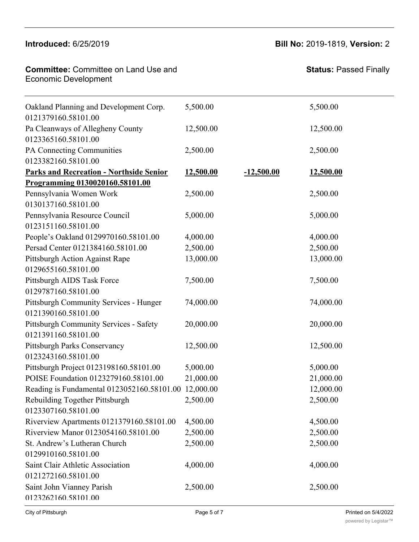Northside Youth Athletic Association

**Committee:** Committee on Land Use and **Committee:** Committee Fund/Northside Chronicle Northerne Leadership Conference

**Status:** Passed Finally

| Oakland Planning and Development Corp.<br>0121379160.58101.00 | 5,500.00  |              | 5,500.00  |  |
|---------------------------------------------------------------|-----------|--------------|-----------|--|
| Pa Cleanways of Allegheny County<br>0123365160.58101.00       | 12,500.00 |              | 12,500.00 |  |
| PA Connecting Communities<br>0123382160.58101.00              | 2,500.00  |              | 2,500.00  |  |
| <b>Parks and Recreation - Northside Senior</b>                | 12,500.00 | $-12,500.00$ | 12,500.00 |  |
| Programming 0130020160.58101.00                               |           |              |           |  |
| Pennsylvania Women Work<br>0130137160.58101.00                | 2,500.00  |              | 2,500.00  |  |
| Pennsylvania Resource Council<br>0123151160.58101.00          | 5,000.00  |              | 5,000.00  |  |
| People's Oakland 0129970160.58101.00                          | 4,000.00  |              | 4,000.00  |  |
| Persad Center 0121384160.58101.00                             | 2,500.00  |              | 2,500.00  |  |
| Pittsburgh Action Against Rape                                | 13,000.00 |              | 13,000.00 |  |
| 0129655160.58101.00                                           |           |              |           |  |
| Pittsburgh AIDS Task Force<br>0129787160.58101.00             | 7,500.00  |              | 7,500.00  |  |
| Pittsburgh Community Services - Hunger                        | 74,000.00 |              | 74,000.00 |  |
| 0121390160.58101.00                                           |           |              |           |  |
| Pittsburgh Community Services - Safety<br>0121391160.58101.00 | 20,000.00 |              | 20,000.00 |  |
| Pittsburgh Parks Conservancy                                  | 12,500.00 |              | 12,500.00 |  |
| 0123243160.58101.00                                           |           |              |           |  |
| Pittsburgh Project 0123198160.58101.00                        | 5,000.00  |              | 5,000.00  |  |
| POISE Foundation 0123279160.58101.00                          | 21,000.00 |              | 21,000.00 |  |
| Reading is Fundamental 0123052160.58101.00 12,000.00          |           |              | 12,000.00 |  |
| Rebuilding Together Pittsburgh                                | 2,500.00  |              | 2,500.00  |  |
| 0123307160.58101.00                                           |           |              |           |  |
| Riverview Apartments 0121379160.58101.00                      | 4,500.00  |              | 4,500.00  |  |
| Riverview Manor 0123054160.58101.00                           | 2,500.00  |              | 2,500.00  |  |
| St. Andrew's Lutheran Church                                  | 2,500.00  |              | 2,500.00  |  |
| 0129910160.58101.00                                           |           |              |           |  |
| Saint Clair Athletic Association                              | 4,000.00  |              | 4,000.00  |  |
| 0121272160.58101.00                                           |           |              |           |  |
| Saint John Vianney Parish<br>0123262160.58101.00              | 2,500.00  |              | 2,500.00  |  |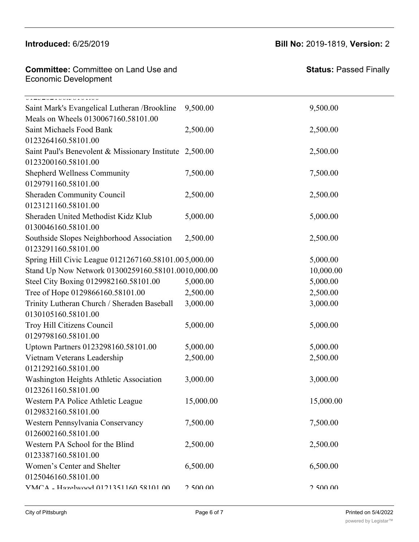**Committee:** Committee on Land Use and **Economic Development** Saint John Vianney Parish

**Status:** Passed Finally

| V12V2V2V3V3V3V3V1V3V0V<br>Saint Mark's Evangelical Lutheran /Brookline | 9,500.00  | 9,500.00  |
|------------------------------------------------------------------------|-----------|-----------|
| Meals on Wheels 0130067160.58101.00                                    |           |           |
| Saint Michaels Food Bank                                               | 2,500.00  | 2,500.00  |
| 0123264160.58101.00                                                    |           |           |
| Saint Paul's Benevolent & Missionary Institute 2,500.00                |           | 2,500.00  |
| 0123200160.58101.00                                                    |           |           |
| Shepherd Wellness Community                                            | 7,500.00  | 7,500.00  |
| 0129791160.58101.00                                                    |           |           |
| Sheraden Community Council                                             | 2,500.00  | 2,500.00  |
| 0123121160.58101.00                                                    |           |           |
| Sheraden United Methodist Kidz Klub                                    | 5,000.00  | 5,000.00  |
| 0130046160.58101.00                                                    |           |           |
| Southside Slopes Neighborhood Association                              | 2,500.00  | 2,500.00  |
| 0123291160.58101.00                                                    |           |           |
| Spring Hill Civic League 0121267160.58101.005,000.00                   |           | 5,000.00  |
| Stand Up Now Network 01300259160.58101.0010,000.00                     |           | 10,000.00 |
| Steel City Boxing 0129982160.58101.00                                  | 5,000.00  | 5,000.00  |
| Tree of Hope 0129866160.58101.00                                       | 2,500.00  | 2,500.00  |
| Trinity Lutheran Church / Sheraden Baseball                            | 3,000.00  | 3,000.00  |
| 0130105160.58101.00                                                    |           |           |
| Troy Hill Citizens Council                                             | 5,000.00  | 5,000.00  |
| 0129798160.58101.00                                                    |           |           |
| Uptown Partners 0123298160.58101.00                                    | 5,000.00  | 5,000.00  |
| Vietnam Veterans Leadership                                            | 2,500.00  | 2,500.00  |
| 0121292160.58101.00                                                    |           |           |
| Washington Heights Athletic Association                                | 3,000.00  | 3,000.00  |
| 0123261160.58101.00                                                    |           |           |
| Western PA Police Athletic League                                      | 15,000.00 | 15,000.00 |
| 0129832160.58101.00                                                    |           |           |
| Western Pennsylvania Conservancy                                       | 7,500.00  | 7,500.00  |
| 0126002160.58101.00                                                    |           |           |
| Western PA School for the Blind                                        | 2,500.00  | 2,500.00  |
| 0123387160.58101.00                                                    |           |           |
| Women's Center and Shelter                                             | 6,500.00  | 6,500.00  |
| 0125046160.58101.00                                                    |           |           |
| VMCA - Hazelwood 0121351160 58101 00                                   | 2,500,00  | 2.500.00  |